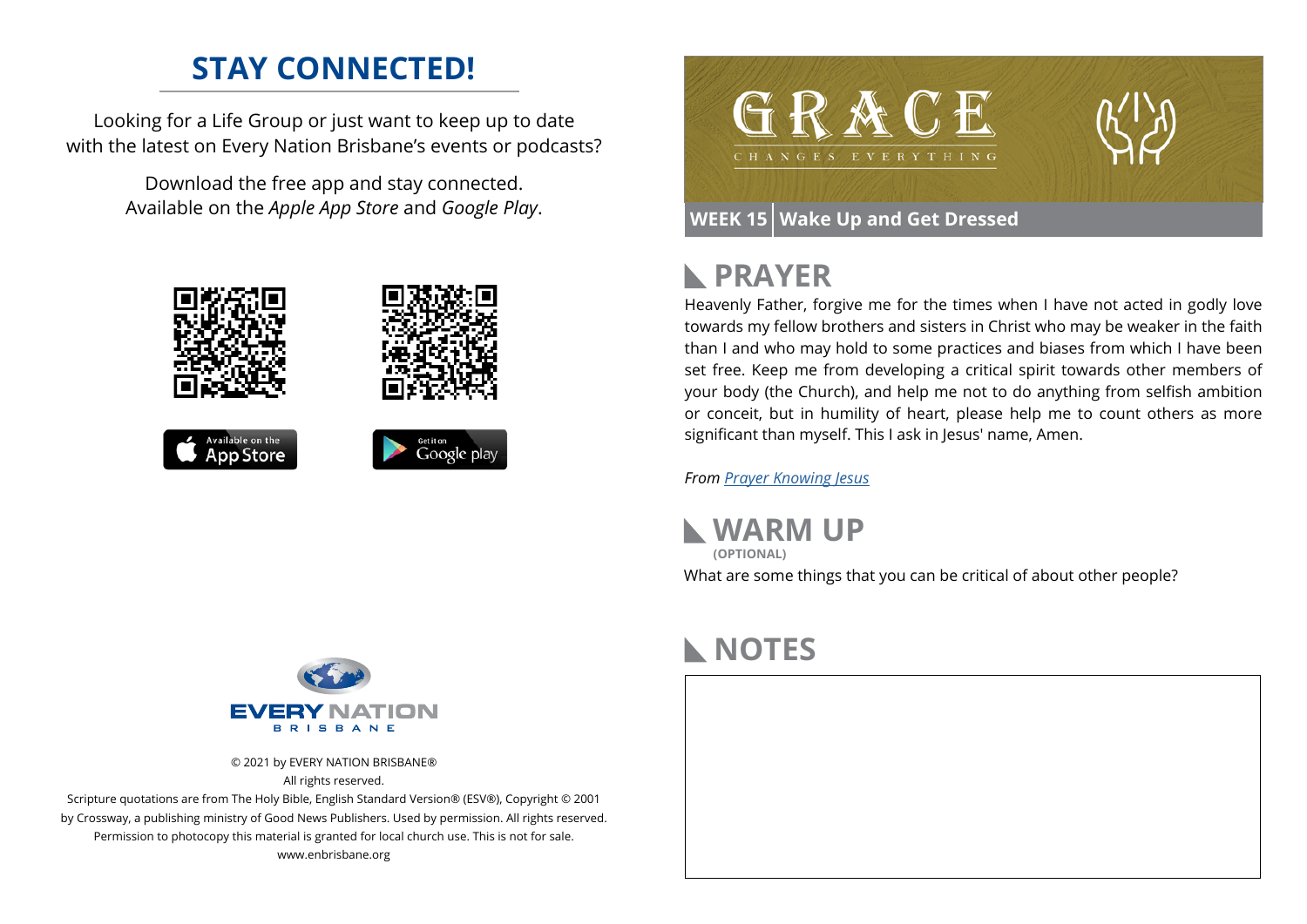#### **STAY CONNECTED!**

Looking for a Life Group or just want to keep up to date with the latest on Every Nation Brisbane's events or podcasts?

> Download the free app and stay connected. Available on the *Apple App Store* and *Google Play*.





#### **WEEK 15 Wake Up and Get Dressed**

#### **PRAYER**  $\blacktriangleright$

Heavenly Father, forgive me for the times when I have not acted in godly love towards my fellow brothers and sisters in Christ who may be weaker in the faith than I and who may hold to some practices and biases from which I have been set free. Keep me from developing a critical spirit towards other members of your body (the Church), and help me not to do anything from selfish ambition or conceit, but in humility of heart, please help me to count others as more significant than myself. This I ask in Jesus' name, Amen.

*From [Prayer](https://prayer.knowing-jesus.com/Romans/14) Knowing Jesus*



#### **NOTES**



© 2021 by EVERY NATION BRISBANE® All rights reserved.

Scripture quotations are from The Holy Bible, English Standard Version® (ESV®), Copyright © 2001 by Crossway, a publishing ministry of Good News Publishers. Used by permission. All rights reserved. Permission to photocopy this material is granted for local church use. This is not for sale. www.enbrisbane.org